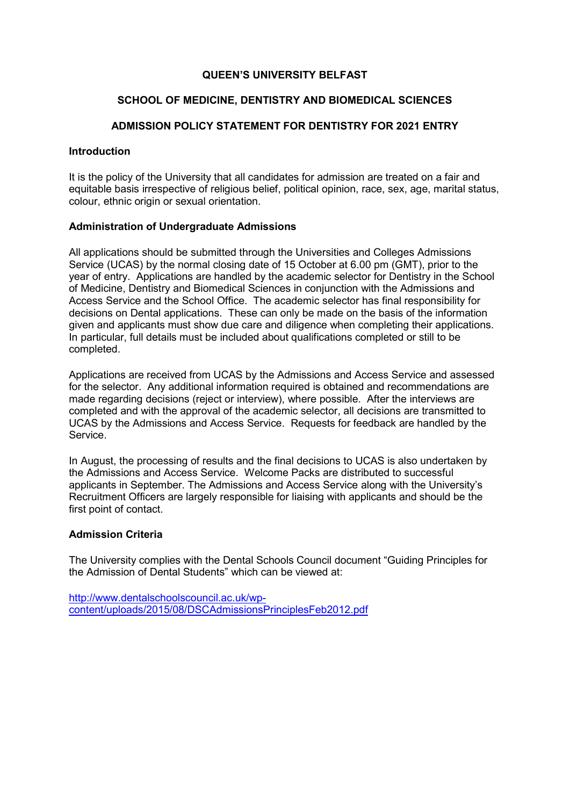## QUEEN'S UNIVERSITY BELFAST

#### SCHOOL OF MEDICINE, DENTISTRY AND BIOMEDICAL SCIENCES

# ADMISSION POLICY STATEMENT FOR DENTISTRY FOR 2021 ENTRY

#### **Introduction**

It is the policy of the University that all candidates for admission are treated on a fair and equitable basis irrespective of religious belief, political opinion, race, sex, age, marital status, colour, ethnic origin or sexual orientation.

#### Administration of Undergraduate Admissions

All applications should be submitted through the Universities and Colleges Admissions Service (UCAS) by the normal closing date of 15 October at 6.00 pm (GMT), prior to the year of entry. Applications are handled by the academic selector for Dentistry in the School of Medicine, Dentistry and Biomedical Sciences in conjunction with the Admissions and Access Service and the School Office. The academic selector has final responsibility for decisions on Dental applications. These can only be made on the basis of the information given and applicants must show due care and diligence when completing their applications. In particular, full details must be included about qualifications completed or still to be completed.

Applications are received from UCAS by the Admissions and Access Service and assessed for the selector. Any additional information required is obtained and recommendations are made regarding decisions (reject or interview), where possible. After the interviews are completed and with the approval of the academic selector, all decisions are transmitted to UCAS by the Admissions and Access Service. Requests for feedback are handled by the Service.

In August, the processing of results and the final decisions to UCAS is also undertaken by the Admissions and Access Service. Welcome Packs are distributed to successful applicants in September. The Admissions and Access Service along with the University's Recruitment Officers are largely responsible for liaising with applicants and should be the first point of contact.

#### Admission Criteria

The University complies with the Dental Schools Council document "Guiding Principles for the Admission of Dental Students" which can be viewed at:

http://www.dentalschoolscouncil.ac.uk/wpcontent/uploads/2015/08/DSCAdmissionsPrinciplesFeb2012.pdf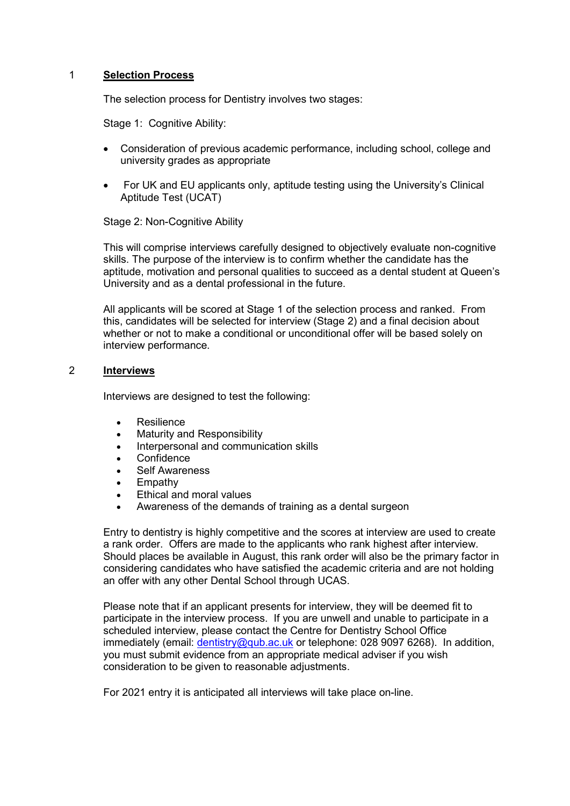# 1 Selection Process

The selection process for Dentistry involves two stages:

Stage 1: Cognitive Ability:

- Consideration of previous academic performance, including school, college and university grades as appropriate
- For UK and EU applicants only, aptitude testing using the University's Clinical Aptitude Test (UCAT)

# Stage 2: Non-Cognitive Ability

This will comprise interviews carefully designed to objectively evaluate non-cognitive skills. The purpose of the interview is to confirm whether the candidate has the aptitude, motivation and personal qualities to succeed as a dental student at Queen's University and as a dental professional in the future.

All applicants will be scored at Stage 1 of the selection process and ranked. From this, candidates will be selected for interview (Stage 2) and a final decision about whether or not to make a conditional or unconditional offer will be based solely on interview performance.

#### 2 Interviews

Interviews are designed to test the following:

- **Resilience**
- Maturity and Responsibility
- Interpersonal and communication skills
- **Confidence**
- Self Awareness
- Empathy
- Ethical and moral values
- Awareness of the demands of training as a dental surgeon

Entry to dentistry is highly competitive and the scores at interview are used to create a rank order. Offers are made to the applicants who rank highest after interview. Should places be available in August, this rank order will also be the primary factor in considering candidates who have satisfied the academic criteria and are not holding an offer with any other Dental School through UCAS.

 Please note that if an applicant presents for interview, they will be deemed fit to participate in the interview process. If you are unwell and unable to participate in a scheduled interview, please contact the Centre for Dentistry School Office immediately (email: *dentistry@qub.ac.uk* or telephone: 028 9097 6268). In addition, you must submit evidence from an appropriate medical adviser if you wish consideration to be given to reasonable adjustments.

For 2021 entry it is anticipated all interviews will take place on-line.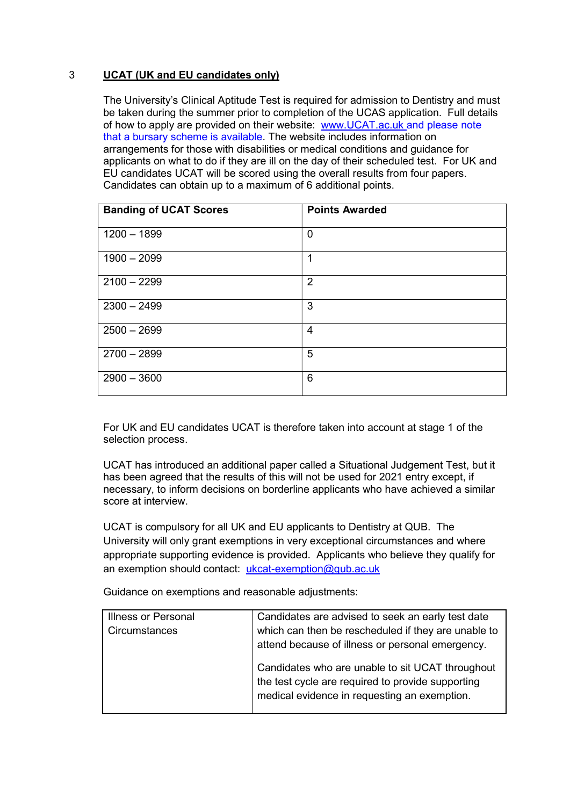# 3 UCAT (UK and EU candidates only)

The University's Clinical Aptitude Test is required for admission to Dentistry and must be taken during the summer prior to completion of the UCAS application. Full details of how to apply are provided on their website: www.UCAT.ac.uk and please note that a bursary scheme is available. The website includes information on arrangements for those with disabilities or medical conditions and guidance for applicants on what to do if they are ill on the day of their scheduled test. For UK and EU candidates UCAT will be scored using the overall results from four papers. Candidates can obtain up to a maximum of 6 additional points.

| <b>Banding of UCAT Scores</b> | <b>Points Awarded</b> |
|-------------------------------|-----------------------|
| $1200 - 1899$                 | $\mathbf 0$           |
| $1900 - 2099$                 | 1                     |
| $2100 - 2299$                 | $\overline{2}$        |
| $2300 - 2499$                 | 3                     |
| $2500 - 2699$                 | 4                     |
| $2700 - 2899$                 | 5                     |
| $2900 - 3600$                 | 6                     |

For UK and EU candidates UCAT is therefore taken into account at stage 1 of the selection process.

UCAT has introduced an additional paper called a Situational Judgement Test, but it has been agreed that the results of this will not be used for 2021 entry except, if necessary, to inform decisions on borderline applicants who have achieved a similar score at interview.

UCAT is compulsory for all UK and EU applicants to Dentistry at QUB. The University will only grant exemptions in very exceptional circumstances and where appropriate supporting evidence is provided. Applicants who believe they qualify for an exemption should contact: ukcat-exemption@qub.ac.uk

Guidance on exemptions and reasonable adjustments:

| <b>Illness or Personal</b> | Candidates are advised to seek an early test date                                                                                                     |
|----------------------------|-------------------------------------------------------------------------------------------------------------------------------------------------------|
| Circumstances              | which can then be rescheduled if they are unable to<br>attend because of illness or personal emergency.                                               |
|                            | Candidates who are unable to sit UCAT throughout<br>the test cycle are required to provide supporting<br>medical evidence in requesting an exemption. |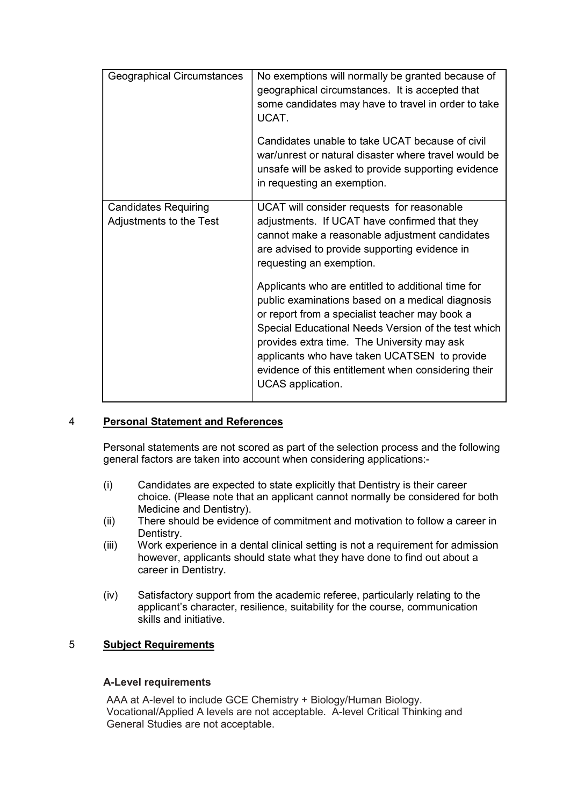| Geographical Circumstances                             | No exemptions will normally be granted because of<br>geographical circumstances. It is accepted that<br>some candidates may have to travel in order to take<br>UCAT.                                                                                                                                                                                                                       |
|--------------------------------------------------------|--------------------------------------------------------------------------------------------------------------------------------------------------------------------------------------------------------------------------------------------------------------------------------------------------------------------------------------------------------------------------------------------|
|                                                        | Candidates unable to take UCAT because of civil<br>war/unrest or natural disaster where travel would be<br>unsafe will be asked to provide supporting evidence<br>in requesting an exemption.                                                                                                                                                                                              |
| <b>Candidates Requiring</b><br>Adjustments to the Test | UCAT will consider requests for reasonable<br>adjustments. If UCAT have confirmed that they<br>cannot make a reasonable adjustment candidates<br>are advised to provide supporting evidence in<br>requesting an exemption.                                                                                                                                                                 |
|                                                        | Applicants who are entitled to additional time for<br>public examinations based on a medical diagnosis<br>or report from a specialist teacher may book a<br>Special Educational Needs Version of the test which<br>provides extra time. The University may ask<br>applicants who have taken UCATSEN to provide<br>evidence of this entitlement when considering their<br>UCAS application. |

# 4 Personal Statement and References

Personal statements are not scored as part of the selection process and the following general factors are taken into account when considering applications:-

- (i) Candidates are expected to state explicitly that Dentistry is their career choice. (Please note that an applicant cannot normally be considered for both Medicine and Dentistry).
- (ii) There should be evidence of commitment and motivation to follow a career in Dentistry.
- (iii) Work experience in a dental clinical setting is not a requirement for admission however, applicants should state what they have done to find out about a career in Dentistry.
- (iv) Satisfactory support from the academic referee, particularly relating to the applicant's character, resilience, suitability for the course, communication skills and initiative.

# 5 Subject Requirements

# A-Level requirements

AAA at A-level to include GCE Chemistry + Biology/Human Biology. Vocational/Applied A levels are not acceptable. A-level Critical Thinking and General Studies are not acceptable.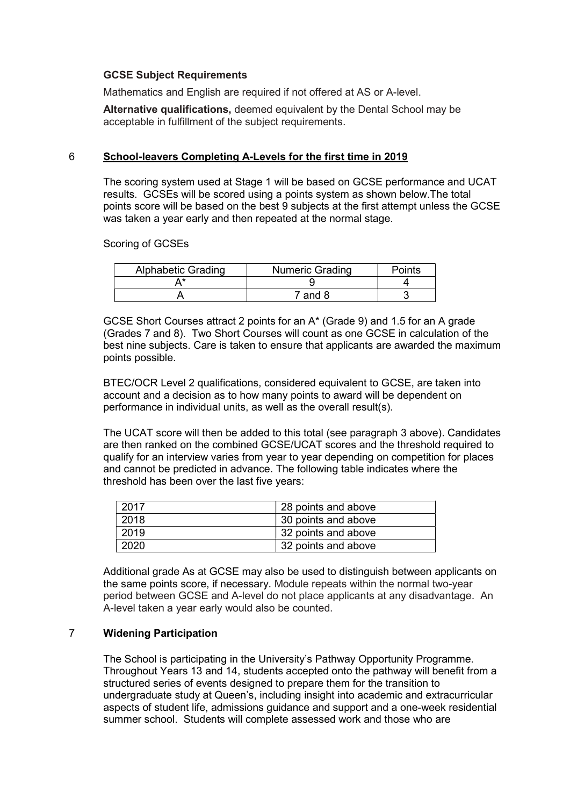#### GCSE Subject Requirements

Mathematics and English are required if not offered at AS or A-level.

Alternative qualifications, deemed equivalent by the Dental School may be acceptable in fulfillment of the subject requirements.

### 6 School-leavers Completing A-Levels for the first time in 2019

The scoring system used at Stage 1 will be based on GCSE performance and UCAT results. GCSEs will be scored using a points system as shown below.The total points score will be based on the best 9 subjects at the first attempt unless the GCSE was taken a year early and then repeated at the normal stage.

Scoring of GCSEs

| <b>Alphabetic Grading</b> | <b>Numeric Grading</b> | Points |
|---------------------------|------------------------|--------|
|                           |                        |        |
|                           | ' and 8                |        |

GCSE Short Courses attract 2 points for an A\* (Grade 9) and 1.5 for an A grade (Grades 7 and 8). Two Short Courses will count as one GCSE in calculation of the best nine subjects. Care is taken to ensure that applicants are awarded the maximum points possible.

BTEC/OCR Level 2 qualifications, considered equivalent to GCSE, are taken into account and a decision as to how many points to award will be dependent on performance in individual units, as well as the overall result(s).

The UCAT score will then be added to this total (see paragraph 3 above). Candidates are then ranked on the combined GCSE/UCAT scores and the threshold required to qualify for an interview varies from year to year depending on competition for places and cannot be predicted in advance. The following table indicates where the threshold has been over the last five years:

| 2017 | 28 points and above |
|------|---------------------|
| 2018 | 30 points and above |
| 2019 | 32 points and above |
| 2020 | 32 points and above |

Additional grade As at GCSE may also be used to distinguish between applicants on the same points score, if necessary. Module repeats within the normal two-year period between GCSE and A-level do not place applicants at any disadvantage. An A-level taken a year early would also be counted.

# 7 Widening Participation

The School is participating in the University's Pathway Opportunity Programme. Throughout Years 13 and 14, students accepted onto the pathway will benefit from a structured series of events designed to prepare them for the transition to undergraduate study at Queen's, including insight into academic and extracurricular aspects of student life, admissions guidance and support and a one-week residential summer school. Students will complete assessed work and those who are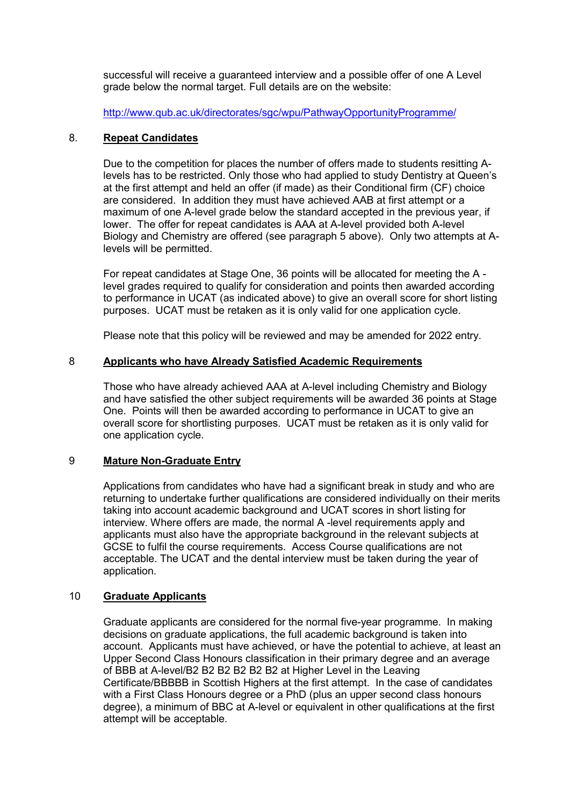successful will receive a guaranteed interview and a possible offer of one A Level grade below the normal target. Full details are on the website:

http://www.qub.ac.uk/directorates/sgc/wpu/PathwayOpportunityProgramme/

#### 8. Repeat Candidates

Due to the competition for places the number of offers made to students resitting Alevels has to be restricted. Only those who had applied to study Dentistry at Queen's at the first attempt and held an offer (if made) as their Conditional firm (CF) choice are considered. In addition they must have achieved AAB at first attempt or a maximum of one A-level grade below the standard accepted in the previous year, if lower. The offer for repeat candidates is AAA at A-level provided both A-level Biology and Chemistry are offered (see paragraph 5 above). Only two attempts at Alevels will be permitted.

For repeat candidates at Stage One, 36 points will be allocated for meeting the A level grades required to qualify for consideration and points then awarded according to performance in UCAT (as indicated above) to give an overall score for short listing purposes. UCAT must be retaken as it is only valid for one application cycle.

Please note that this policy will be reviewed and may be amended for 2022 entry.

#### 8 Applicants who have Already Satisfied Academic Requirements

Those who have already achieved AAA at A-level including Chemistry and Biology and have satisfied the other subject requirements will be awarded 36 points at Stage One. Points will then be awarded according to performance in UCAT to give an overall score for shortlisting purposes. UCAT must be retaken as it is only valid for one application cycle.

# 9 Mature Non-Graduate Entry

Applications from candidates who have had a significant break in study and who are returning to undertake further qualifications are considered individually on their merits taking into account academic background and UCAT scores in short listing for interview. Where offers are made, the normal A -level requirements apply and applicants must also have the appropriate background in the relevant subjects at GCSE to fulfil the course requirements. Access Course qualifications are not acceptable. The UCAT and the dental interview must be taken during the year of application.

# 10 Graduate Applicants

Graduate applicants are considered for the normal five-year programme. In making decisions on graduate applications, the full academic background is taken into account. Applicants must have achieved, or have the potential to achieve, at least an Upper Second Class Honours classification in their primary degree and an average of BBB at A-level/B2 B2 B2 B2 B2 B2 at Higher Level in the Leaving Certificate/BBBBB in Scottish Highers at the first attempt. In the case of candidates with a First Class Honours degree or a PhD (plus an upper second class honours degree), a minimum of BBC at A-level or equivalent in other qualifications at the first attempt will be acceptable.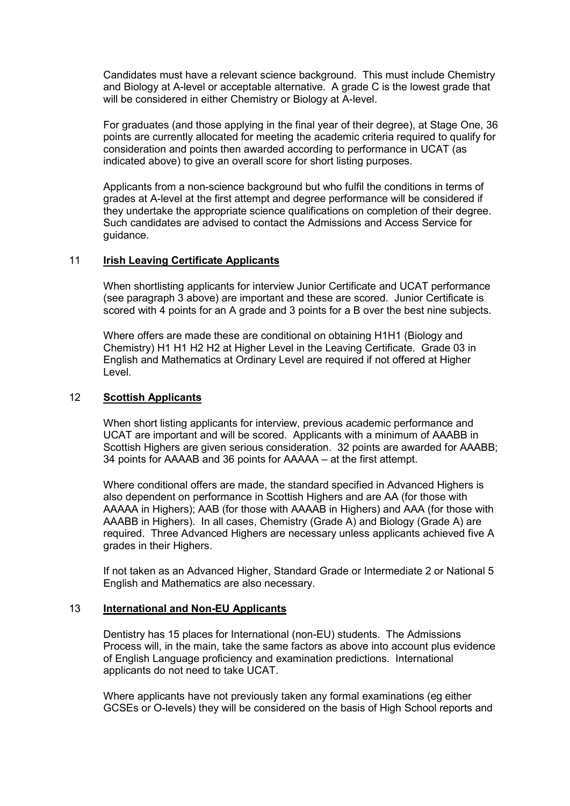Candidates must have a relevant science background. This must include Chemistry and Biology at A-level or acceptable alternative. A grade C is the lowest grade that will be considered in either Chemistry or Biology at A-level.

For graduates (and those applying in the final year of their degree), at Stage One, 36 points are currently allocated for meeting the academic criteria required to qualify for consideration and points then awarded according to performance in UCAT (as indicated above) to give an overall score for short listing purposes.

Applicants from a non-science background but who fulfil the conditions in terms of grades at A-level at the first attempt and degree performance will be considered if they undertake the appropriate science qualifications on completion of their degree. Such candidates are advised to contact the Admissions and Access Service for guidance.

# 11 Irish Leaving Certificate Applicants

When shortlisting applicants for interview Junior Certificate and UCAT performance (see paragraph 3 above) are important and these are scored. Junior Certificate is scored with 4 points for an A grade and 3 points for a B over the best nine subjects.

Where offers are made these are conditional on obtaining H1H1 (Biology and Chemistry) H1 H1 H2 H2 at Higher Level in the Leaving Certificate. Grade 03 in English and Mathematics at Ordinary Level are required if not offered at Higher Level.

#### 12 Scottish Applicants

When short listing applicants for interview, previous academic performance and UCAT are important and will be scored. Applicants with a minimum of AAABB in Scottish Highers are given serious consideration. 32 points are awarded for AAABB; 34 points for AAAAB and 36 points for AAAAA – at the first attempt.

Where conditional offers are made, the standard specified in Advanced Highers is also dependent on performance in Scottish Highers and are AA (for those with AAAAA in Highers); AAB (for those with AAAAB in Highers) and AAA (for those with AAABB in Highers). In all cases, Chemistry (Grade A) and Biology (Grade A) are required. Three Advanced Highers are necessary unless applicants achieved five A grades in their Highers.

If not taken as an Advanced Higher, Standard Grade or Intermediate 2 or National 5 English and Mathematics are also necessary.

#### 13 International and Non-EU Applicants

Dentistry has 15 places for International (non-EU) students. The Admissions Process will, in the main, take the same factors as above into account plus evidence of English Language proficiency and examination predictions. International applicants do not need to take UCAT.

Where applicants have not previously taken any formal examinations (eg either GCSEs or O-levels) they will be considered on the basis of High School reports and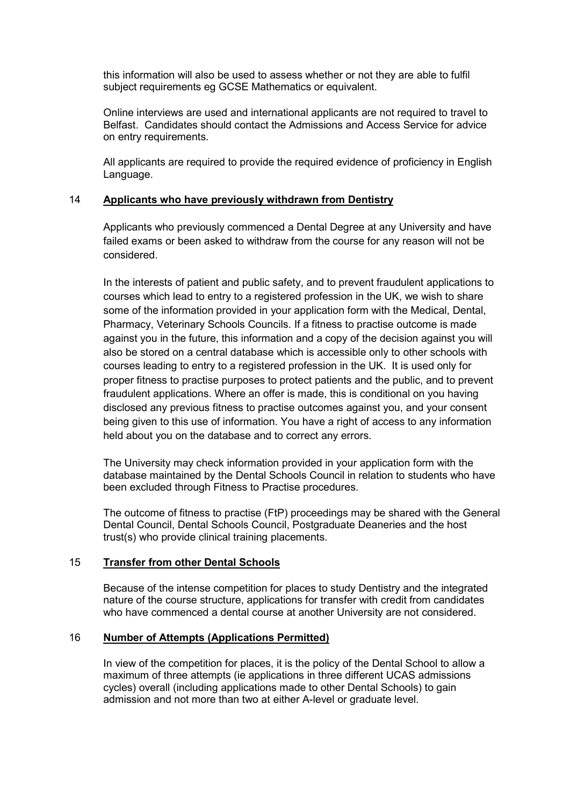this information will also be used to assess whether or not they are able to fulfil subject requirements eg GCSE Mathematics or equivalent.

Online interviews are used and international applicants are not required to travel to Belfast. Candidates should contact the Admissions and Access Service for advice on entry requirements.

All applicants are required to provide the required evidence of proficiency in English Language.

#### 14 Applicants who have previously withdrawn from Dentistry

Applicants who previously commenced a Dental Degree at any University and have failed exams or been asked to withdraw from the course for any reason will not be considered.

In the interests of patient and public safety, and to prevent fraudulent applications to courses which lead to entry to a registered profession in the UK, we wish to share some of the information provided in your application form with the Medical, Dental, Pharmacy, Veterinary Schools Councils. If a fitness to practise outcome is made against you in the future, this information and a copy of the decision against you will also be stored on a central database which is accessible only to other schools with courses leading to entry to a registered profession in the UK. It is used only for proper fitness to practise purposes to protect patients and the public, and to prevent fraudulent applications. Where an offer is made, this is conditional on you having disclosed any previous fitness to practise outcomes against you, and your consent being given to this use of information. You have a right of access to any information held about you on the database and to correct any errors.

The University may check information provided in your application form with the database maintained by the Dental Schools Council in relation to students who have been excluded through Fitness to Practise procedures.

The outcome of fitness to practise (FtP) proceedings may be shared with the General Dental Council, Dental Schools Council, Postgraduate Deaneries and the host trust(s) who provide clinical training placements.

# 15 Transfer from other Dental Schools

Because of the intense competition for places to study Dentistry and the integrated nature of the course structure, applications for transfer with credit from candidates who have commenced a dental course at another University are not considered.

# 16 Number of Attempts (Applications Permitted)

In view of the competition for places, it is the policy of the Dental School to allow a maximum of three attempts (ie applications in three different UCAS admissions cycles) overall (including applications made to other Dental Schools) to gain admission and not more than two at either A-level or graduate level.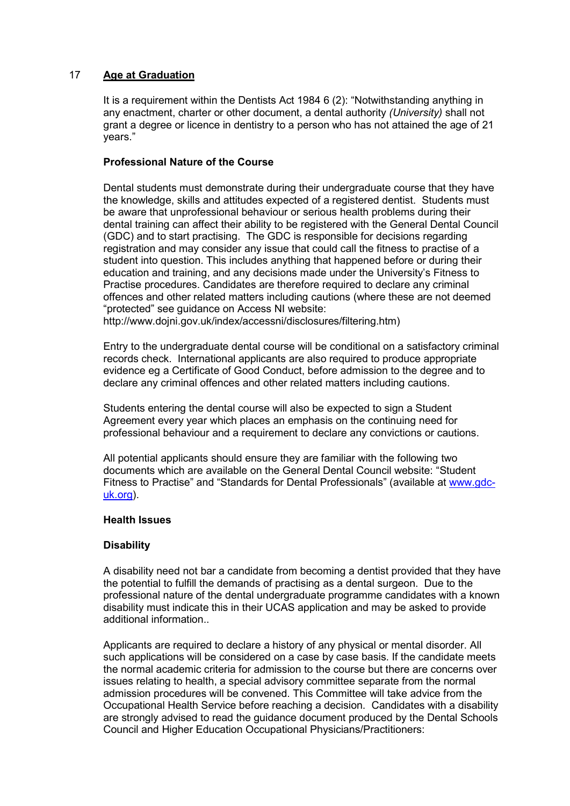# 17 Age at Graduation

It is a requirement within the Dentists Act 1984 6 (2): "Notwithstanding anything in any enactment, charter or other document, a dental authority (University) shall not grant a degree or licence in dentistry to a person who has not attained the age of 21 years."

# Professional Nature of the Course

Dental students must demonstrate during their undergraduate course that they have the knowledge, skills and attitudes expected of a registered dentist. Students must be aware that unprofessional behaviour or serious health problems during their dental training can affect their ability to be registered with the General Dental Council (GDC) and to start practising. The GDC is responsible for decisions regarding registration and may consider any issue that could call the fitness to practise of a student into question. This includes anything that happened before or during their education and training, and any decisions made under the University's Fitness to Practise procedures. Candidates are therefore required to declare any criminal offences and other related matters including cautions (where these are not deemed "protected" see guidance on Access NI website:

http://www.dojni.gov.uk/index/accessni/disclosures/filtering.htm)

Entry to the undergraduate dental course will be conditional on a satisfactory criminal records check. International applicants are also required to produce appropriate evidence eg a Certificate of Good Conduct, before admission to the degree and to declare any criminal offences and other related matters including cautions.

Students entering the dental course will also be expected to sign a Student Agreement every year which places an emphasis on the continuing need for professional behaviour and a requirement to declare any convictions or cautions.

All potential applicants should ensure they are familiar with the following two documents which are available on the General Dental Council website: "Student Fitness to Practise" and "Standards for Dental Professionals" (available at www.gdcuk.org).

# Health Issues

# **Disability**

A disability need not bar a candidate from becoming a dentist provided that they have the potential to fulfill the demands of practising as a dental surgeon. Due to the professional nature of the dental undergraduate programme candidates with a known disability must indicate this in their UCAS application and may be asked to provide additional information..

Applicants are required to declare a history of any physical or mental disorder. All such applications will be considered on a case by case basis. If the candidate meets the normal academic criteria for admission to the course but there are concerns over issues relating to health, a special advisory committee separate from the normal admission procedures will be convened. This Committee will take advice from the Occupational Health Service before reaching a decision. Candidates with a disability are strongly advised to read the guidance document produced by the Dental Schools Council and Higher Education Occupational Physicians/Practitioners: